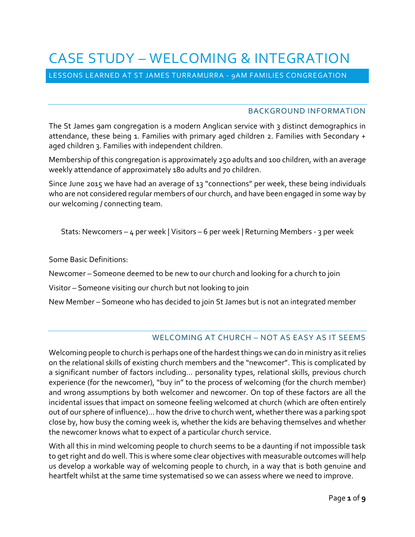# CASE STUDY – WELCOMING & INTEGRATION

LESSONS LEARNED AT ST JAMES TURRAMURRA - 9AM FAMILIES CONGREGATION

#### BACKGROUND INFORMATION

The St James 9am congregation is a modern Anglican service with 3 distinct demographics in attendance, these being 1. Families with primary aged children 2. Families with Secondary + aged children 3. Families with independent children.

Membership of this congregation is approximately 250 adults and 100 children, with an average weekly attendance of approximately 180 adults and 70 children.

Since June 2015 we have had an average of 13 "connections" per week, these being individuals who are not considered regular members of our church, and have been engaged in some way by our welcoming / connecting team.

Stats: Newcomers – 4 per week | Visitors – 6 per week | Returning Members - 3 per week

Some Basic Definitions:

Newcomer – Someone deemed to be new to our church and looking for a church to join

Visitor – Someone visiting our church but not looking to join

New Member – Someone who has decided to join St James but is not an integrated member

#### WELCOMING AT CHURCH – NOT AS EASY AS IT SEEMS

Welcoming people to church is perhaps one of the hardest things we can do in ministry as it relies on the relational skills of existing church members and the "newcomer". This is complicated by a significant number of factors including… personality types, relational skills, previous church experience (for the newcomer), "buy in" to the process of welcoming (for the church member) and wrong assumptions by both welcomer and newcomer. On top of these factors are all the incidental issues that impact on someone feeling welcomed at church (which are often entirely out of our sphere of influence)… how the drive to church went, whether there was a parking spot close by, how busy the coming week is, whether the kids are behaving themselves and whether the newcomer knows what to expect of a particular church service.

With all this in mind welcoming people to church seems to be a daunting if not impossible task to get right and do well. This is where some clear objectives with measurable outcomes will help us develop a workable way of welcoming people to church, in a way that is both genuine and heartfelt whilst at the same time systematised so we can assess where we need to improve.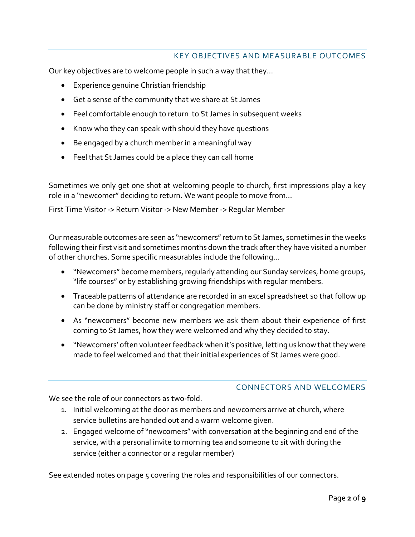# KEY OBJECTIVES AND MEASURABLE OUTCOMES

Our key objectives are to welcome people in such a way that they…

- Experience genuine Christian friendship
- Get a sense of the community that we share at St James
- Feel comfortable enough to return to St James in subsequent weeks
- Know who they can speak with should they have questions
- Be engaged by a church member in a meaningful way
- Feel that St James could be a place they can call home

Sometimes we only get one shot at welcoming people to church, first impressions play a key role in a "newcomer" deciding to return. We want people to move from…

First Time Visitor -> Return Visitor -> New Member -> Regular Member

Our measurable outcomes are seen as "newcomers" return to St James, sometimes in the weeks following their first visit and sometimes months down the track after they have visited a number of other churches. Some specific measurables include the following…

- "Newcomers" become members, regularly attending our Sunday services, home groups, "life courses" or by establishing growing friendships with regular members.
- Traceable patterns of attendance are recorded in an excel spreadsheet so that follow up can be done by ministry staff or congregation members.
- As "newcomers" become new members we ask them about their experience of first coming to St James, how they were welcomed and why they decided to stay.
- "Newcomers' often volunteer feedback when it's positive, letting us know that they were made to feel welcomed and that their initial experiences of St James were good.

#### CONNECTORS AND WELCOMERS

We see the role of our connectors as two-fold.

- 1. Initial welcoming at the door as members and newcomers arrive at church, where service bulletins are handed out and a warm welcome given.
- 2. Engaged welcome of "newcomers" with conversation at the beginning and end of the service, with a personal invite to morning tea and someone to sit with during the service (either a connector or a regular member)

See extended notes on page 5 covering the roles and responsibilities of our connectors.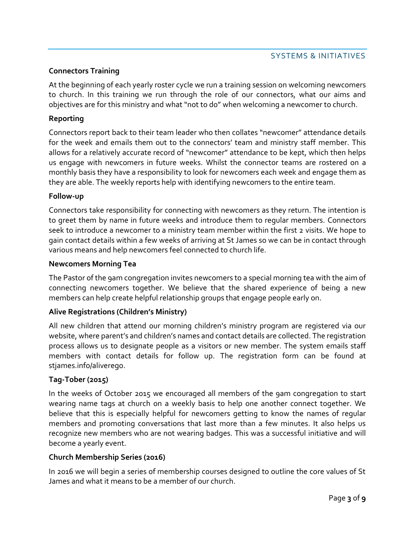### **Connectors Training**

At the beginning of each yearly roster cycle we run a training session on welcoming newcomers to church. In this training we run through the role of our connectors, what our aims and objectives are for this ministry and what "not to do" when welcoming a newcomer to church.

#### **Reporting**

Connectors report back to their team leader who then collates "newcomer" attendance details for the week and emails them out to the connectors' team and ministry staff member. This allows for a relatively accurate record of "newcomer" attendance to be kept, which then helps us engage with newcomers in future weeks. Whilst the connector teams are rostered on a monthly basis they have a responsibility to look for newcomers each week and engage them as they are able. The weekly reports help with identifying newcomers to the entire team.

#### **Follow-up**

Connectors take responsibility for connecting with newcomers as they return. The intention is to greet them by name in future weeks and introduce them to regular members. Connectors seek to introduce a newcomer to a ministry team member within the first 2 visits. We hope to gain contact details within a few weeks of arriving at St James so we can be in contact through various means and help newcomers feel connected to church life.

#### **Newcomers Morning Tea**

The Pastor of the 9am congregation invites newcomers to a special morning tea with the aim of connecting newcomers together. We believe that the shared experience of being a new members can help create helpful relationship groups that engage people early on.

#### **Alive Registrations (Children's Ministry)**

All new children that attend our morning children's ministry program are registered via our website, where parent's and children's names and contact details are collected. The registration process allows us to designate people as a visitors or new member. The system emails staff members with contact details for follow up. The registration form can be found at stjames.info/aliverego.

#### **Tag-Tober (2015)**

In the weeks of October 2015 we encouraged all members of the 9am congregation to start wearing name tags at church on a weekly basis to help one another connect together. We believe that this is especially helpful for newcomers getting to know the names of regular members and promoting conversations that last more than a few minutes. It also helps us recognize new members who are not wearing badges. This was a successful initiative and will become a yearly event.

#### **Church Membership Series (2016)**

In 2016 we will begin a series of membership courses designed to outline the core values of St James and what it means to be a member of our church.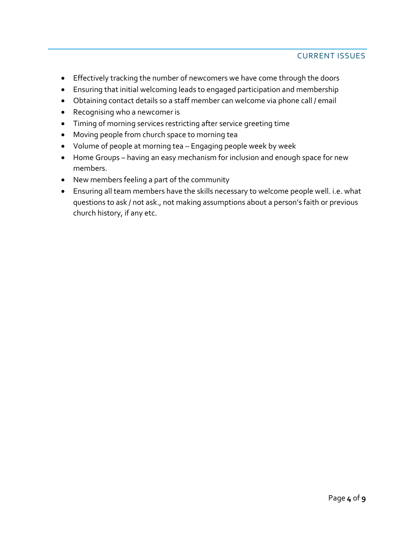## CURRENT ISSUES

- Effectively tracking the number of newcomers we have come through the doors
- Ensuring that initial welcoming leads to engaged participation and membership
- Obtaining contact details so a staff member can welcome via phone call / email
- Recognising who a newcomer is
- Timing of morning services restricting after service greeting time
- Moving people from church space to morning tea
- Volume of people at morning tea Engaging people week by week
- Home Groups having an easy mechanism for inclusion and enough space for new members.
- New members feeling a part of the community
- Ensuring all team members have the skills necessary to welcome people well. i.e. what questions to ask / not ask., not making assumptions about a person's faith or previous church history, if any etc.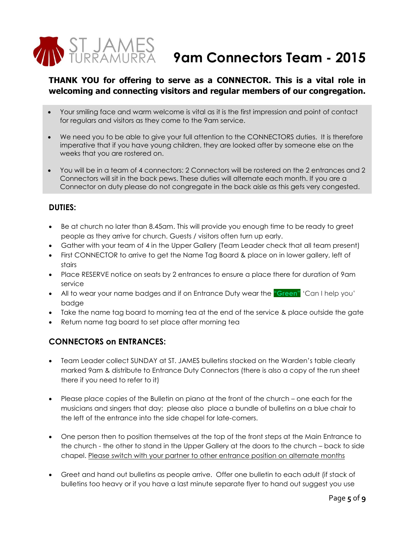

# **9am Connectors Team - 2015**

# **THANK YOU for offering to serve as a CONNECTOR. This is a vital role in welcoming and connecting visitors and regular members of our congregation.**

- Your smiling face and warm welcome is vital as it is the first impression and point of contact for regulars and visitors as they come to the 9am service.
- We need you to be able to give your full attention to the CONNECTORS duties. It is therefore imperative that if you have young children, they are looked after by someone else on the weeks that you are rostered on.
- You will be in a team of 4 connectors: 2 Connectors will be rostered on the 2 entrances and 2 Connectors will sit in the back pews. These duties will alternate each month. If you are a Connector on duty please do not congregate in the back aisle as this gets very congested.

#### **DUTIES:**

- Be at church no later than 8.45am. This will provide you enough time to be ready to greet people as they arrive for church. Guests / visitors often turn up early.
- Gather with your team of 4 in the Upper Gallery (Team Leader check that all team present)
- First CONNECTOR to arrive to get the Name Tag Board & place on in lower gallery, left of stairs
- Place RESERVE notice on seats by 2 entrances to ensure a place there for duration of 9am service
- All to wear your name badges and if on Entrance Duty wear the **"Green"** 'Can I help you' badge
- Take the name tag board to morning tea at the end of the service & place outside the gate
- Return name tag board to set place after morning tea

# **CONNECTORS on ENTRANCES:**

- Team Leader collect SUNDAY at ST. JAMES bulletins stacked on the Warden's table clearly marked 9am & distribute to Entrance Duty Connectors (there is also a copy of the run sheet there if you need to refer to it)
- Please place copies of the Bulletin on piano at the front of the church one each for the musicians and singers that day; please also place a bundle of bulletins on a blue chair to the left of the entrance into the side chapel for late-comers.
- One person then to position themselves at the top of the front steps at the Main Entrance to the church - the other to stand in the Upper Gallery at the doors to the church – back to side chapel. Please switch with your partner to other entrance position on alternate months
- Greet and hand out bulletins as people arrive. Offer one bulletin to each adult (if stack of bulletins too heavy or if you have a last minute separate flyer to hand out suggest you use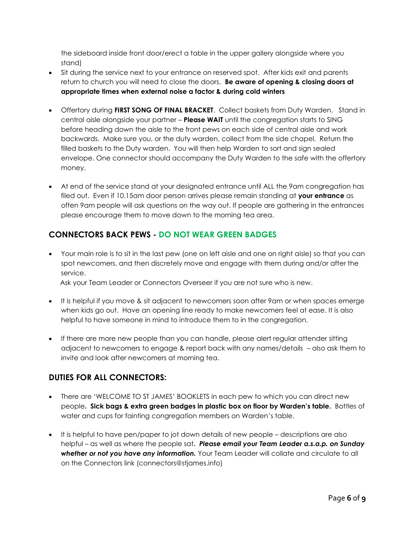the sideboard inside front door/erect a table in the upper gallery alongside where you stand)

- Sit during the service next to your entrance on reserved spot. After kids exit and parents return to church you will need to close the doors. **Be aware of opening & closing doors at appropriate times when external noise a factor & during cold winters**
- Offertory during **FIRST SONG OF FINAL BRACKET**. Collect baskets from Duty Warden. Stand in central aisle alongside your partner – **Please WAIT** until the congregation starts to SING before heading down the aisle to the front pews on each side of central aisle and work backwards. Make sure you, or the duty warden, collect from the side chapel. Return the filled baskets to the Duty warden. You will then help Warden to sort and sign sealed envelope. One connector should accompany the Duty Warden to the safe with the offertory money.
- At end of the service stand at your designated entrance until ALL the 9am congregation has filed out. Even if 10.15am door person arrives please remain standing at **your entrance** as often 9am people will ask questions on the way out. If people are gathering in the entrances please encourage them to move down to the morning tea area.

# **CONNECTORS BACK PEWS - DO NOT WEAR GREEN BADGES**

 Your main role is to sit in the last pew (one on left aisle and one on right aisle) so that you can spot newcomers, and then discretely move and engage with them during and/or after the service.

Ask your Team Leader or Connectors Overseer if you are not sure who is new.

- It is helpful if you move & sit adjacent to newcomers soon after 9am or when spaces emerge when kids go out. Have an opening line ready to make newcomers feel at ease. It is also helpful to have someone in mind to introduce them to in the congregation.
- If there are more new people than you can handle, please alert regular attender sitting adjacent to newcomers to engage & report back with any names/details – also ask them to invite and look after newcomers at morning tea.

# **DUTIES FOR ALL CONNECTORS:**

- There are 'WELCOME TO ST JAMES' BOOKLETS in each pew to which you can direct new people**. Sick bags & extra green badges in plastic box on floor by Warden's table.** Bottles of water and cups for fainting congregation members on Warden's table.
- It is helpful to have pen/paper to jot down details of new people descriptions are also helpful – as well as where the people sat**.** *Please email your Team Leader a.s.a.p. on Sunday whether or not you have any information.* Your Team Leader will collate and circulate to all on the Connectors link (connectors@stjames.info)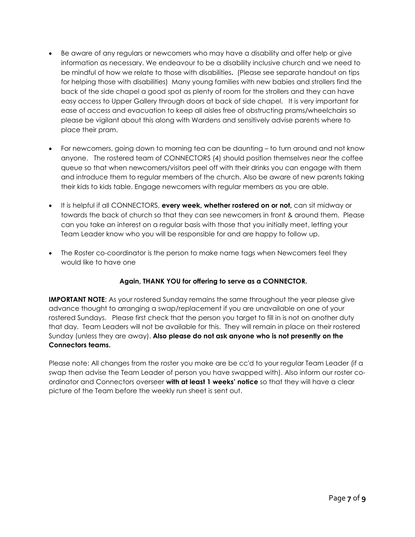- Be aware of any regulars or newcomers who may have a disability and offer help or give information as necessary. We endeavour to be a disability inclusive church and we need to be mindful of how we relate to those with disabilities**.** (Please see separate handout on tips for helping those with disabilities) Many young families with new babies and strollers find the back of the side chapel a good spot as plenty of room for the strollers and they can have easy access to Upper Gallery through doors at back of side chapel. It is very important for ease of access and evacuation to keep all aisles free of obstructing prams/wheelchairs so please be vigilant about this along with Wardens and sensitively advise parents where to place their pram.
- For newcomers, going down to morning tea can be daunting to turn around and not know anyone. The rostered team of CONNECTORS (4) should position themselves near the coffee queue so that when newcomers/visitors peel off with their drinks you can engage with them and introduce them to regular members of the church. Also be aware of new parents taking their kids to kids table. Engage newcomers with regular members as you are able.
- It is helpful if all CONNECTORS, **every week, whether rostered on or not,** can sit midway or towards the back of church so that they can see newcomers in front & around them. Please can you take an interest on a regular basis with those that you initially meet, letting your Team Leader know who you will be responsible for and are happy to follow up.
- The Roster co-coordinator is the person to make name tags when Newcomers feel they would like to have one

#### **Again, THANK YOU for offering to serve as a CONNECTOR.**

**IMPORTANT NOTE:** As your rostered Sunday remains the same throughout the year please give advance thought to arranging a swap/replacement if you are unavailable on one of your rostered Sundays. Please first check that the person you target to fill in is not on another duty that day. Team Leaders will not be available for this. They will remain in place on their rostered Sunday (unless they are away). **Also please do not ask anyone who is not presently on the Connectors teams.**

Please note: All changes from the roster you make are be cc'd to your regular Team Leader (if a swap then advise the Team Leader of person you have swapped with). Also inform our roster coordinator and Connectors overseer **with at least 1 weeks' notice** so that they will have a clear picture of the Team before the weekly run sheet is sent out.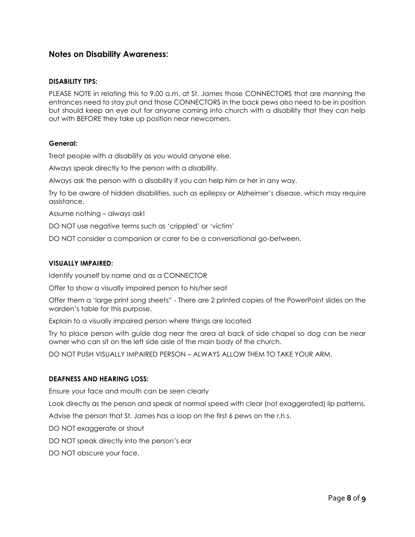#### **Notes on Disability Awareness:**

#### **DISABILITY TIPS:**

PLEASE NOTE in relating this to 9.00 a.m. at St. James those CONNECTORS that are manning the entrances need to stay put and those CONNECTORS in the back pews also need to be in position but should keep an eye out for anyone coming into church with a disability that they can help out with BEFORE they take up position near newcomers.

#### **General:**

Treat people with a disability as you would anyone else.

Always speak directly to the person with a disability.

Always ask the person with a disability if you can help him or her in any way.

Try to be aware of hidden disabilities, such as epilepsy or Alzheimer's disease, which may require assistance.

Assume nothing – always ask!

DO NOT use negative terms such as 'crippled' or 'victim'

DO NOT consider a companion or carer to be a conversational go-between.

#### **VISUALLY IMPAIRED:**

Identify yourself by name and as a CONNECTOR

Offer to show a visually impaired person to his/her seat

Offer them a 'large print song sheets" - There are 2 printed copies of the PowerPoint slides on the warden's table for this purpose.

Explain to a visually impaired person where things are located

Try to place person with guide dog near the area at back of side chapel so dog can be near owner who can sit on the left side aisle of the main body of the church.

DO NOT PUSH VISUALLY IMPAIRED PERSON – ALWAYS ALLOW THEM TO TAKE YOUR ARM.

#### **DEAFNESS AND HEARING LOSS:**

Ensure your face and mouth can be seen clearly

Look directly as the person and speak at normal speed with clear (not exaggerated) lip patterns.

Advise the person that St. James has a loop on the first 6 pews on the r.h.s.

DO NOT exaggerate or shout

DO NOT speak directly into the person's ear

DO NOT obscure your face.